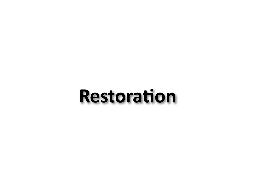# **Restoration**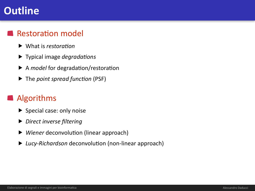### **Outline**

#### **Restoration model**

- ▶ What is *restoration*
- ▶ Typical image *degradations*
- ▶ A *model* for degradation/restoration
- ▶ The *point spread function* (PSF)

#### Algorithms

- $\blacktriangleright$  Special case: only noise
- ▶ *Direct inverse filtering*
- ▶ *Wiener* deconvolution (linear approach)
- *Lucy-Richardson* deconvolution (non-linear approach)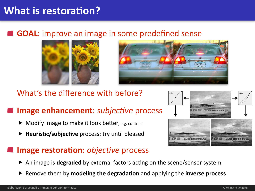### **What is restoration?**

#### **GOAL:** improve an image in some predefined sense





#### What's the difference with before?

#### **Image enhancement:** *subjective* process

- Modify image to make it look better, e.g. contrast
- ▶ **Heuristic/subjective** process: try until pleased

#### **Image restoration:** *objective* process

- An image is **degraded** by external factors acting on the scene/sensor system
- Remove them by **modeling the degradation** and applying the **inverse process**

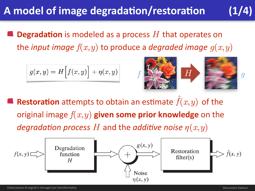## A model of image degradation/restoration (1/4)

**Degradation** is modeled as a process  $H$  that operates on the *input image*  $f(x, y)$  to produce a *degraded image*  $g(x, y)$ 

$$
g(x,y) = H\Big[ f(x,y) \Big] + \eta(x,y)
$$



**Restoration** attempts to obtain an estimate  $f(x, y)$  of the original image  $f(x, y)$  given some prior knowledge on the *degradation process H* and the *additive noise*  $\eta(x,y)$ 

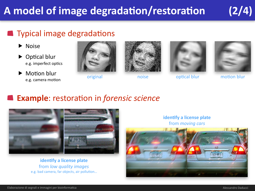## A model of image degradation/restoration (2/4)

#### **Typical image degradations**

- ▶ Noise
- $\triangleright$  Optical blur e.g. imperfect optics
- $\blacktriangleright$  Motion blur e.g. camera motion









original noise optical blur motion blur

#### **Example:** restoration in *forensic science*



**identify a license plate** from *low quality images* e.g. bad camera, far objects, air pollution... **identify a license plate** from *moving* cars

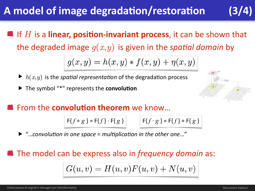### A model of image degradation/restoration

If  $H$  is a **linear, position-invariant process**, it can be shown that the degraded image  $g(x, y)$  is given in the *spatial domain* by

$$
g(x, y) = h(x, y) * f(x, y) + \eta(x, y)
$$

- $\blacktriangleright$   $h(x, y)$  is the *spatial representation* of the degradation process
- ▶ The symbol "\*" represents the **convolution**

#### **Example From the convolution theorem** we know...

$$
\mathsf{F}\{f * g\} = \mathsf{F}\{f\} \cdot \mathsf{F}\{g\}
$$

$$
F\{f * g\} = F\{f\} \cdot F\{g\}
$$
  $F\{f \cdot g\} = F\{f\} * F\{g\}$ 

"...convolution in one space = multiplication in the other one..."

**The model can be express also in** *frequency domain* **as:** 

$$
G(u,v) = H(u,v)F(u,v) + N(u,v)
$$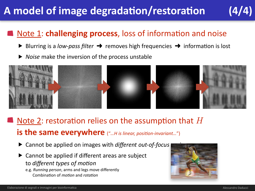## A model of image degradation/restoration (4/4)

#### Note 1: **challenging process**, loss of information and noise

- Blurring is a *low-pass filter* → removes high frequencies → information is lost
- ▶ *Noise* make the inversion of the process unstable



### Note 2: restoration relies on the assumption that  $H$ **is the same everywhere** ("...H is linear, position-invariant...")

- ▶ Cannot be applied on images with *different out-of-focus*
- Cannot be applied if different areas are subject to *different types of motion* 
	- e.g. *Running person*, arms and legs move differently Combination of *motion* and *rotation*

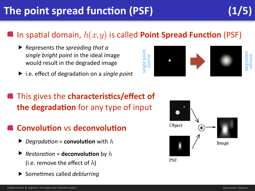## **The point spread function (PSF)**

### In spatial domain,  $h(x, y)$  is called **Point Spread Function** (PSF)

- ▶ Represents the *spreading that a* single bright point in the ideal image would result in the degraded image
- ▶ i.e. effect of degradation on a *single point*

### This gives the **characteristics/effect of the degradation** for any type of input

#### **Convolution** vs deconvolution

- $\blacktriangleright$  *Degradation* = **convolution** with  $h$
- $\blacktriangleright$  *Restoration* = **deconvolution** by h (i.e. remove the effect of  $h$ )
- **Sometimes called** *deblurring*



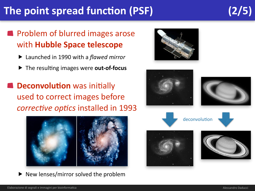## The point spread function (PSF) (2/5)

### **Problem of blurred images arose** with **Hubble Space telescope**

- ▶ Launched in 1990 with a *flawed mirror*
- ▶ The resulting images were **out-of-focus**

**Deconvolution** was initially used to correct images before *corrective optics* installed in 1993



New lenses/mirror solved the problem



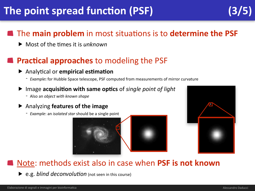## **The point spread function (PSF)**

#### **The main problem** in most situations is to **determine the PSF**

▶ Most of the times it is *unknown* 

#### **Practical approaches** to modeling the PSF

#### ▶ Analytical or **empirical estimation**

- *Example*: for Hubble Space telescope, PSF computed from measurements of mirror curvature

#### Image **acquisition with same optics** of *single point of light*

- Also an *object with known shape* 

#### Analyzing **features of the image**

- *Example*: an *isolated star* should be a single point





#### Note: methods exist also in case when PSF is not known

▶ e.g. *blind deconvolution* (not seen in this course)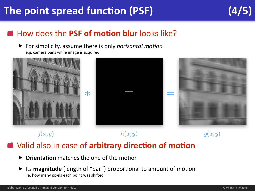## The point spread function (PSF) **(4/5)**

### **How does the PSF of motion blur** looks like?

▶ For simplicity, assume there is only *horizontal motion* e.g. camera pans while image is acquired



 $f(x,y)$  *h*(*x,y*) *g*(*x,y*)

#### **A** Valid also in case of arbitrary direction of motion

- **Orientation** matches the one of the motion
- ▶ Its magnitude (length of "bar") proportional to amount of motion i.e. how many pixels each point was shifted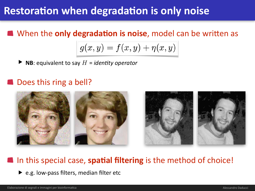### **Restoration when degradation is only noise**

**Notable M** When the **only degradation is noise**, model can be written as

$$
g(x,y) = f(x,y) + \eta(x,y)
$$

 $\blacktriangleright$  **NB**: equivalent to say  $H =$  *identity operator* 

#### **OD** Does this ring a bell?



#### In this special case, **spatial filtering** is the method of choice!

 $\blacktriangleright$  e.g. low-pass filters, median filter etc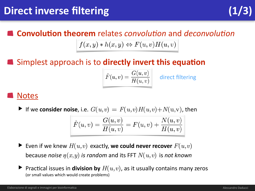### **Convolution theorem** relates *convolution* and *deconvolution*

#### $f(x, y) * h(x, y) \Leftrightarrow F(u, v)H(u, v)$

#### Simplest approach is to **directly invert this equation**

| $ \hat{F}(u,v) $ | G(u, v)<br>$H(u,v)^\top$ |  |
|------------------|--------------------------|--|
|                  |                          |  |

direct filtering

#### **Notes**

▶ If we consider noise, i.e.  $G(u,v) = F(u,v)H(u,v) + N(u,v)$ , then

$$
\hat{F}(u, v) = \frac{G(u, v)}{H(u, v)} = F(u, v) + \frac{N(u, v)}{H(u, v)}
$$

- ▶ Even if we knew  $H(u,v)$  exactly, we could never recover  $F(u,v)$ because *noise*  $\eta(x,y)$  *is random* and its FFT  $N(u,v)$  is not known
- ▶ Practical issues in **division by**  $H(u,v)$ , as it usually contains many zeros (or small values which would create problems)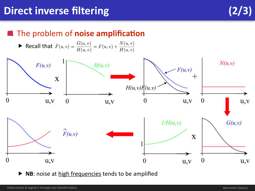#### **The problem of noise amplification**

$$
\blacktriangleright \text{ Recall that } \hat{F}(u,v) = \frac{G(u,v)}{H(u,v)} = F(u,v) + \frac{N(u,v)}{H(u,v)}
$$



▶ NB: noise at high frequencies tends to be amplified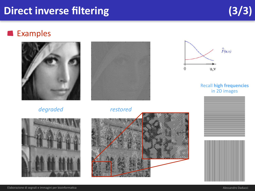### Direct inverse filtering (3/3)

#### **Examples**



#### *degraded restored*





#### Recall **high frequencies** in 2D images







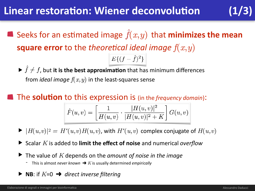### **Linear restoration: Wiener deconvolution**

**Seeks for an estimated image**  $\hat{f}(x,y)$  **that minimizes the mean square error** to the *theoretical ideal image*  $f(x, y)$  $E\{(f - \hat{f})^2\}$ 

 $\blacktriangleright$   $\hat{f} \neq f$ , but it is the best approximation that has minimum differences from *ideal image*  $f(x, y)$  in the least-squares sense

**The solution** to this expression is (in the *frequency domain*):

$$
\hat{F}(u, v) = \left[\frac{1}{H(u, v)} \cdot \frac{|H(u, v)|^2}{|H(u, v)|^2 + K}\right] G(u, v)
$$

- $\blacktriangleright$   $|H(u,v)|^2 = H^*(u,v)H(u,v)$ , with  $H^*(u,v)$  complex conjugate of  $H(u,v)$
- **Scalar** *K* is added to **limit the effect of noise** and numerical *overflow*
- $\blacktriangleright$  The value of  $K$  depends on the *amount of noise in the image* 
	- $\blacksquare$  This is almost *never* known  $\rightarrow$  *K* is usually determined *empirically*
- ▶ **NB**: if  $K=0$  → direct inverse filtering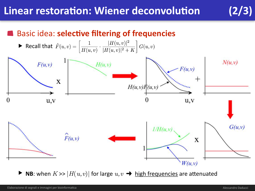### **Linear restoration: Wiener deconvolution**

#### **Basic idea: selective filtering of frequencies**



▶ NB: when  $K \gg |H(u,v)|$  for large  $u,v \rightarrow$  high frequencies are attenuated

 $(2/3)$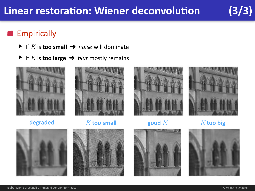#### **Empirically**

- ▶ If *K* is **too small**  $\rightarrow$  *noise* will dominate
- ▶ If *K* is **too large**  $\rightarrow$  *blur* mostly remains





**degraded** *K* **too small <b>good** *K* **K** *K* **too big** 











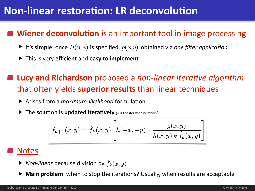### **Non-linear restoration: LR deconvolution**

#### **Wiener deconvolution** is an important tool in image processing

- ▶ It's simple: once  $H(u,v)$  is specified,  $g(x,y)$  obtained via one filter application
- ▶ This is very **efficient** and **easy to implement**

**Lucy and Richardson** proposed a *non-linear iterative algorithm* that often yields **superior results** than linear techniques

- ▶ Arises from a *mgximum-likelihood* formulation
- **The solution is updated iteratively** (*k* is the iteration number):

$$
\hat{f}_{k+1}(x, y) = \hat{f}_k(x, y) \left[ h(-x, -y) * \frac{g(x, y)}{h(x, y) * \hat{f}_k(x, y)} \right]
$$

#### **Notes**

- ▶ *Non-linear* because division by  $\hat{f}_k(x, y)$
- **Main problem**: when to stop the iterations? Usually, when results are acceptable